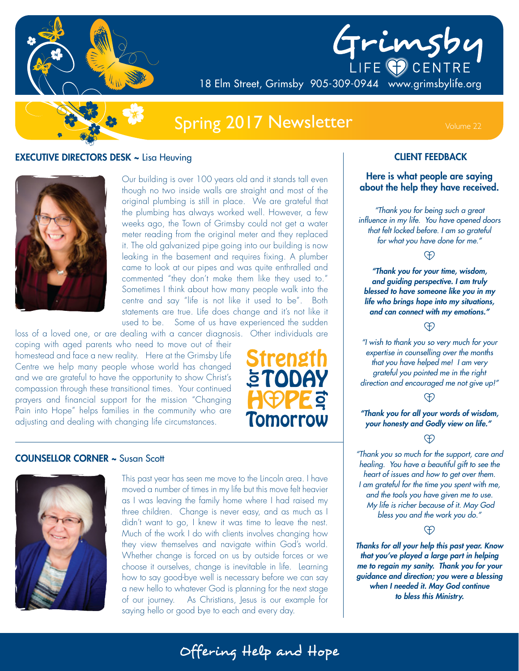

# Grimsby

18 Elm Street, Grimsby 905-309-0944 www.grimsbylife.org

## Spring 2017 Newsletter Volume 22

#### **EXECUTIVE DIRECTORS DESK ~ Lisa Heuving**



Our building is over 100 years old and it stands tall even though no two inside walls are straight and most of the original plumbing is still in place. We are grateful that the plumbing has always worked well. However, a few weeks ago, the Town of Grimsby could not get a water meter reading from the original meter and they replaced it. The old galvanized pipe going into our building is now leaking in the basement and requires fixing. A plumber came to look at our pipes and was quite enthralled and commented "they don't make them like they used to." Sometimes I think about how many people walk into the centre and say "life is not like it used to be". Both statements are true. Life does change and it's not like it used to be. Some of us have experienced the sudden

loss of a loved one, or are dealing with a cancer diagnosis. Other individuals are coping with aged parents who need to move out of their homestead and face a new reality. Here at the Grimsby Life Centre we help many people whose world has changed and we are grateful to have the opportunity to show Christ's compassion through these transitional times. Your continued prayers and financial support for the mission "Changing Pain into Hope" helps families in the community who are adjusting and dealing with changing life circumstances.



#### COUNSELLOR CORNER ~ Susan Scott



This past year has seen me move to the Lincoln area. I have moved a number of times in my life but this move felt heavier as I was leaving the family home where I had raised my three children. Change is never easy, and as much as I didn't want to go, I knew it was time to leave the nest. Much of the work I do with clients involves changing how they view themselves and navigate within God's world. Whether change is forced on us by outside forces or we choose it ourselves, change is inevitable in life. Learning how to say good-bye well is necessary before we can say a new hello to whatever God is planning for the next stage of our journey. As Christians, Jesus is our example for saying hello or good bye to each and every day.

#### CLIENT FEEDBACK

#### Here is what people are saying about the help they have received.

*"Thank you for being such a great influence in my life. You have opened doors that felt locked before. I am so grateful for what you have done for me."*

**A** 

*"Thank you for your time, wisdom, and guiding perspective. I am truly blessed to have someone like you in my life who brings hope into my situations, and can connect with my emotions."*

<sup>O</sup>

*"I wish to thank you so very much for your expertise in counselling over the months that you have helped me! I am very grateful you pointed me in the right direction and encouraged me not give up!"*

#### Ð

*"Thank you for all your words of wisdom, your honesty and Godly view on life."* 

#### Ð

*"Thank you so much for the support, care and healing. You have a beautiful gift to see the heart of issues and how to get over them. I am grateful for the time you spent with me, and the tools you have given me to use. My life is richer because of it. May God bless you and the work you do."*

#### <sup>O</sup>

*Thanks for all your help this past year. Know that you've played a large part in helping me to regain my sanity. Thank you for your guidance and direction; you were a blessing when I needed it. May God continue to bless this Ministry.*

Offering Help and Hope